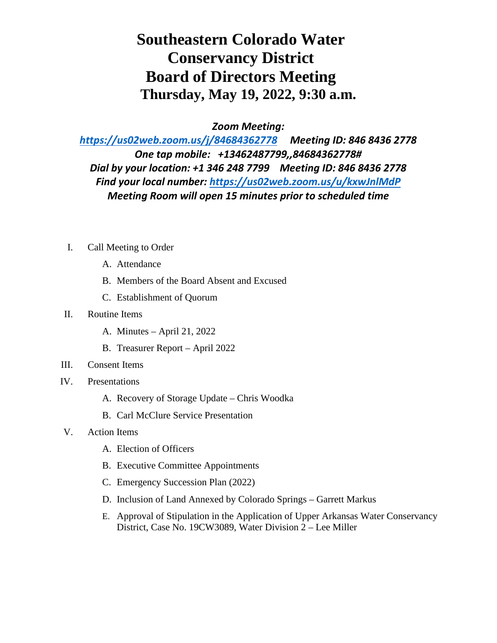## **Southeastern Colorado Water Conservancy District Board of Directors Meeting Thursday, May 19, 2022, 9:30 a.m.**

*Zoom Meeting:*

*<https://us02web.zoom.us/j/84684362778>Meeting ID: 846 8436 2778 One tap mobile: +13462487799,,84684362778# Dial by your location: +1 346 248 7799 Meeting ID: 846 8436 2778 Find your local number:<https://us02web.zoom.us/u/kxwJnlMdP> Meeting Room will open 15 minutes prior to scheduled time*

- I. Call Meeting to Order
	- A. Attendance
	- B. Members of the Board Absent and Excused
	- C. Establishment of Quorum
- II. Routine Items
	- A. Minutes April 21, 2022
	- B. Treasurer Report April 2022
- III. Consent Items
- IV. Presentations
	- A. Recovery of Storage Update Chris Woodka
	- B. Carl McClure Service Presentation
- V. Action Items
	- A. Election of Officers
	- B. Executive Committee Appointments
	- C. Emergency Succession Plan (2022)
	- D. Inclusion of Land Annexed by Colorado Springs Garrett Markus
	- E. Approval of Stipulation in the Application of Upper Arkansas Water Conservancy District, Case No. 19CW3089, Water Division 2 – Lee Miller